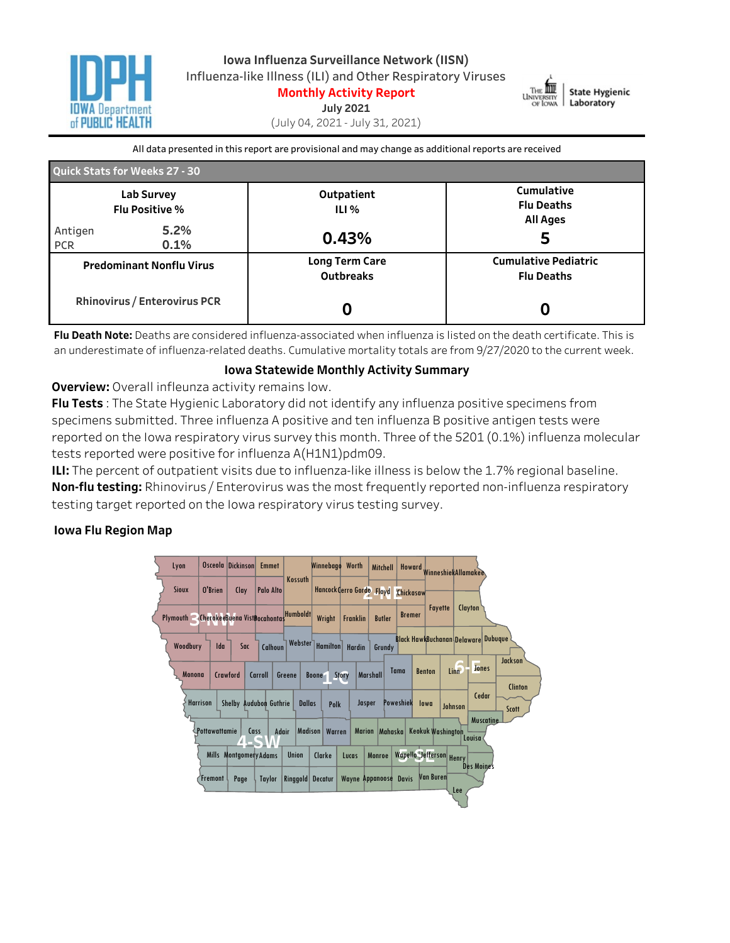



**July2021**

(July04,2021-July31,2021)

All data presented in this report are provisional and may change as additional reports are received

| Quick Stats for Weeks 27 - 30                                          |              |                                           |                                                    |  |  |  |  |
|------------------------------------------------------------------------|--------------|-------------------------------------------|----------------------------------------------------|--|--|--|--|
| Lab Survey<br><b>Flu Positive %</b>                                    |              | Outpatient<br>ILI %                       | Cumulative<br><b>Flu Deaths</b><br><b>All Ages</b> |  |  |  |  |
| Antigen<br><b>PCR</b>                                                  | 5.2%<br>0.1% | 0.43%                                     | 5                                                  |  |  |  |  |
| <b>Predominant Nonflu Virus</b><br><b>Rhinovirus / Enterovirus PCR</b> |              | <b>Long Term Care</b><br><b>Outbreaks</b> | <b>Cumulative Pediatric</b><br><b>Flu Deaths</b>   |  |  |  |  |
|                                                                        |              |                                           |                                                    |  |  |  |  |

Flu Death Note: Deaths are considered influenza-associated when influenza is listed on the death certificate. This is an underestimate of influenza-related deaths. Cumulative mortality totals are from 9/27/2020 to the current week.

#### **Iowa Statewide Monthly Activity Summary**

**Overview:** Overall infleunza activity remains low.

**Flu Tests**: The State Hygienic Laboratory did not identify any influenza positive specimens from specimens submitted. Three influenza A positive and ten influenza B positive antigen tests were reported on the Iowa respiratory virus survey this month. Three of the 5201 (0.1%) influenza molecular tests reported were positive for influenza A(H1N1)pdm09.

**ILI:** The percent of outpatient visits due to influenza-like illness is below the 1.7% regional baseline. **Non-flu testing:** Rhinovirus / Enterovirus was the most frequently reported non-influenza respiratory testing target reported on the Iowa respiratory virus testing survey.

## **Iowa Flu Region Map**

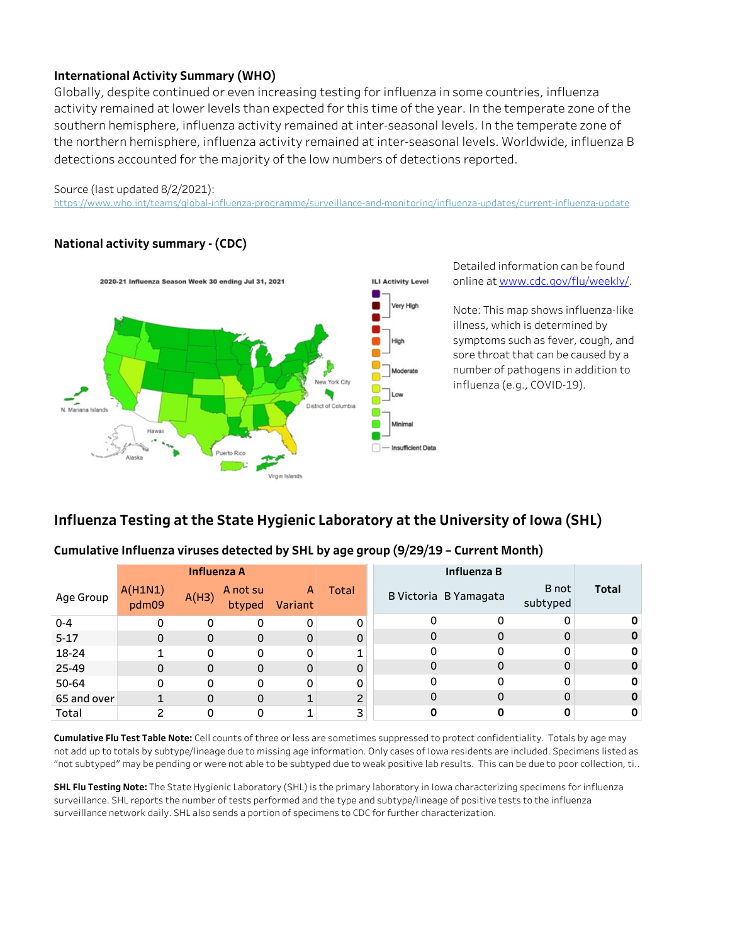## **International Activity Summary (WHO)**

Globally, despite continued or even increasing testing for influenza in some countries, influenza activity remained at lower levels than expected for this time of the year. In the temperate zone of the southern hemisphere, influenza activity remained at inter-seasonal levels. In the temperate zone of the northern hemisphere, influenza activity remained at inter-seasonal levels. Worldwide, influenza B detections accounted for the majority of the low numbers of detections reported.

#### Source (last updated 8/2/2021):

https://www.who.int/teams/global-influenza-programme/surveillance-and-monitoring/influenza-updates/current-influenza-update

## **Nationalactivitysummary-(CDC)**



Detailed information can be found onlineatwww.cdc.gov/flu/weekly/.

Note: This map shows influenza-like illness, which is determined by symptoms such as fever, cough, and sore throat that can be caused by a number of pathogens in addition to influenza(e.g.,COVID-19).

# **Influenza Testing at the State Hygienic Laboratory at the University of Iowa (SHL)**

### Cumulative Influenza viruses detected by SHL by age group (9/29/19 - Current Month)

|             | <b>Influenza A</b> |              |                    |              | Influenza B    |          |                       |                   |              |
|-------------|--------------------|--------------|--------------------|--------------|----------------|----------|-----------------------|-------------------|--------------|
| Age Group   | A(H1N1)<br>pdm09   | A(H3)        | A not su<br>btyped | A<br>Variant | Total          |          | B Victoria B Yamagata | B not<br>subtyped | <b>Total</b> |
| $0 - 4$     |                    | 0            | 0                  | 0            | 0              | 0        | 0                     | 0                 |              |
| $5 - 17$    | 0                  | $\Omega$     | $\mathbf 0$        | 0            | 0              | $\Omega$ | 0                     | $\mathbf 0$       |              |
| 18-24       |                    | 0            | 0                  | 0            | 1              | 0        | 0                     | 0                 |              |
| 25-49       | 0                  | $\mathbf{0}$ | $\mathbf{0}$       | 0            | $\mathbf 0$    | $\Omega$ | 0                     | $\mathbf 0$       |              |
| 50-64       | 0                  | $\Omega$     | 0                  | 0            | 0              | $\Omega$ | 0                     | 0                 |              |
| 65 and over |                    | $\Omega$     | 0                  | $\mathbf{1}$ | $\overline{c}$ |          | 0                     | $\mathbf 0$       |              |
| Total       | ∍                  |              | 0                  | 1            | 3              |          |                       |                   |              |

Cumulative Flu Test Table Note: Cell counts of three or less are sometimes suppressed to protect confidentiality. Totals by age may not add up to totals by subtype/lineage due to missing age information. Only cases of Iowa residents are included. Specimens listed as "not subtyped" may be pending or were not able to be subtyped due to weak positive lab results. This can be due to poor collection, ti..

**SHL Flu Testing Note:** The State Hygienic Laboratory (SHL) is the primary laboratory in Iowa characterizing specimens for influenza surveillance. SHL reports the number of tests performed and the type and subtype/lineage of positive tests to the influenza surveillance network daily. SHL also sends a portion of specimens to CDC for further characterization.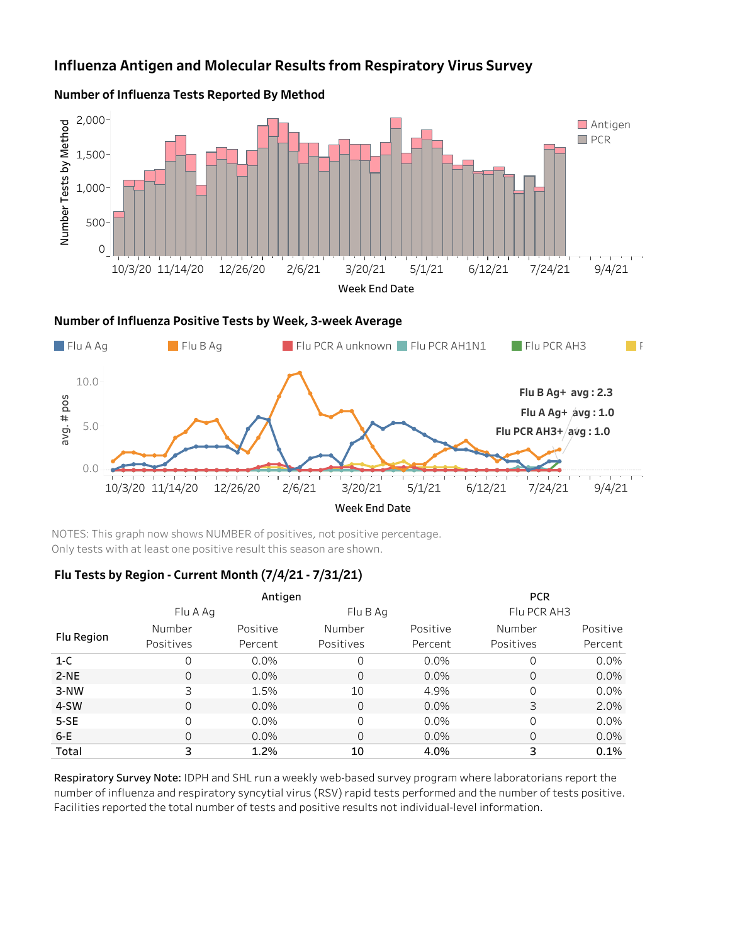## **Influenza Antigen and Molecular Results from Respiratory Virus Survey**



## **Number of Influenza Tests Reported By Method**



NOTES: This graph now shows NUMBER of positives, not positive percentage. Only tests with at least one positive result this season are shown.

### Flu Tests by Region - Current Month (7/4/21 - 7/31/21)

|            |           | Antigen  |                | <b>PCR</b> |             |          |
|------------|-----------|----------|----------------|------------|-------------|----------|
|            | Flu A Ag  |          | Flu B Ag       |            | Flu PCR AH3 |          |
|            | Number    | Positive | Number         | Positive   | Number      | Positive |
| Flu Region | Positives | Percent  | Positives      | Percent    | Positives   | Percent  |
| $1-C$      |           | 0.0%     | 0              | 0.0%       | 0           | 0.0%     |
| $2-NE$     | 0         | $0.0\%$  | $\overline{0}$ | $0.0\%$    | 0           | 0.0%     |
| 3-NW       | 3         | 1.5%     | 10             | 4.9%       | $\Omega$    | 0.0%     |
| 4-SW       |           | $0.0\%$  | 0              | $0.0\%$    | 3           | 2.0%     |
| $5-SE$     |           | 0.0%     | 0              | 0.0%       | 0           | 0.0%     |
| $6-E$      |           | $0.0\%$  | 0              | $0.0\%$    | 0           | 0.0%     |
| Total      | 3         | 1.2%     | 10             | 4.0%       | 3           | 0.1%     |

Respiratory Survey Note: IDPH and SHL run a weekly web-based survey program where laboratorians report the number of influenza and respiratory syncytial virus (RSV) rapid tests performed and the number of tests positive. Facilities reported the total number of tests and positive results not individual-level information.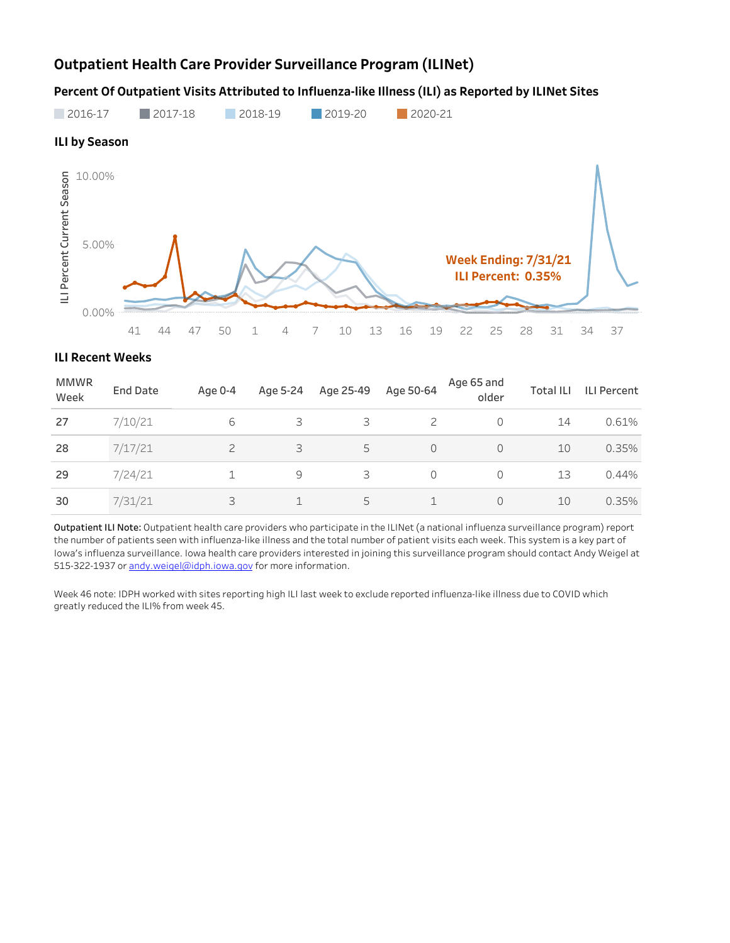# **Outpatient Health Care Provider Surveillance Program (ILINet)**

Percent Of Outpatient Visits Attributed to Influenza-like Illness (ILI) as Reported by ILINet Sites



#### **ILI Recent Weeks**

| <b>MMWR</b><br>Week | <b>End Date</b> | Age 0-4 | Age 5-24 | Age 25-49 | Age 50-64 | Age 65 and<br>older | <b>Total ILI</b> | <b>ILI Percent</b> |
|---------------------|-----------------|---------|----------|-----------|-----------|---------------------|------------------|--------------------|
| 27                  | 7/10/21         | 6       | 3        | 3         | 2         |                     | 14               | 0.61%              |
| 28                  | 7/17/21         |         | 3        | 5         |           |                     | 10               | 0.35%              |
| 29                  | 7/24/21         |         | 9        | 3         |           |                     | 13               | 0.44%              |
| 30                  | 7/31/21         | 3       |          | 5         |           |                     | 10               | 0.35%              |

Outpatient ILI Note: Outpatient health care providers who participate in the ILINet (a national influenza surveillance program) report the number of patients seen with influenza-like illness and the total number of patient visits each week. This system is a key part of Iowa's influenza surveillance. Iowa health care providers interested in joining this surveillance program should contact Andy Weigel at 515-322-1937 or andy.weigel@idph.iowa.gov for more information.

Week 46 note: IDPH worked with sites reporting high ILI last week to exclude reported influenza-like illness due to COVID which greatly reduced the ILI% from week 45.